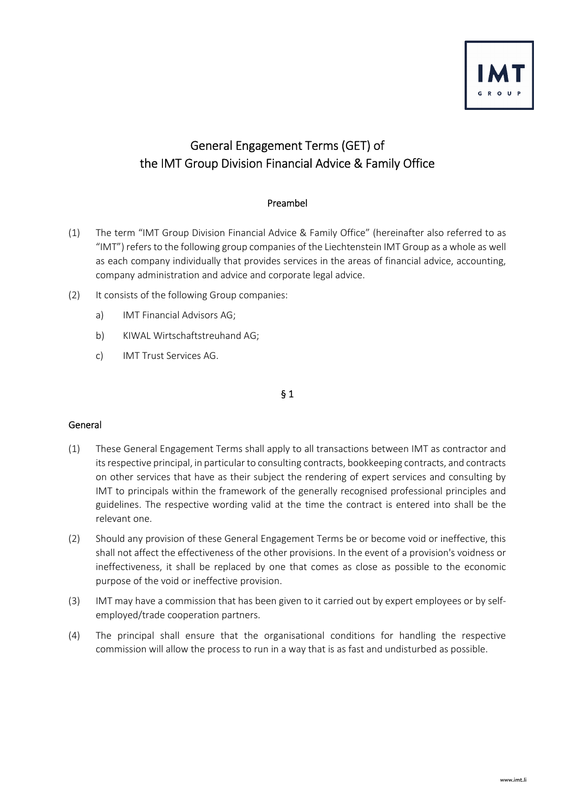

# General Engagement Terms (GET) of the IMT Group Division Financial Advice & Family Office

# Preambel

- (1) The term "IMT Group Division Financial Advice & Family Office" (hereinafter also referred to as "IMT") refers to the following group companies of the Liechtenstein IMT Group as a whole as well as each company individually that provides services in the areas of financial advice, accounting, company administration and advice and corporate legal advice.
- (2) It consists of the following Group companies:
	- a) IMT Financial Advisors AG;
	- b) KIWAL Wirtschaftstreuhand AG;
	- c) IMT Trust Services AG.

### § 1

### General

- (1) These General Engagement Terms shall apply to all transactions between IMT as contractor and its respective principal, in particular to consulting contracts, bookkeeping contracts, and contracts on other services that have as their subject the rendering of expert services and consulting by IMT to principals within the framework of the generally recognised professional principles and guidelines. The respective wording valid at the time the contract is entered into shall be the relevant one.
- (2) Should any provision of these General Engagement Terms be or become void or ineffective, this shall not affect the effectiveness of the other provisions. In the event of a provision's voidness or ineffectiveness, it shall be replaced by one that comes as close as possible to the economic purpose of the void or ineffective provision.
- (3) IMT may have a commission that has been given to it carried out by expert employees or by selfemployed/trade cooperation partners.
- (4) The principal shall ensure that the organisational conditions for handling the respective commission will allow the process to run in a way that is as fast and undisturbed as possible.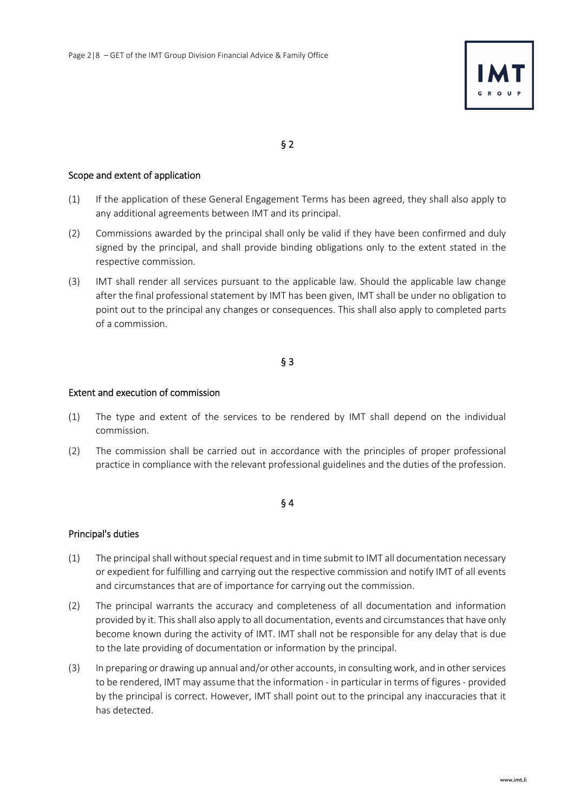

#### Scope and extent of application

- (1) If the application of these General Engagement Terms has been agreed, they shall also apply to any additional agreements between IMT and its principal.
- (2) Commissions awarded by the principal shall only be valid if they have been confirmed and duly signed by the principal, and shall provide binding obligations only to the extent stated in the respective commission.
- (3) IMT shall render all services pursuant to the applicable law. Should the applicable law change after the final professional statement by IMT has been given, IMT shall be under no obligation to point out to the principal any changes or consequences. This shall also apply to completed parts of a commission.

# § 3

#### Extent and execution of commission

- (1) The type and extent of the services to be rendered by IMT shall depend on the individual commission.
- (2) The commission shall be carried out in accordance with the principles of proper professional practice in compliance with the relevant professional guidelines and the duties of the profession.

### § 4

### Principal's duties

- (1) The principal shall without special request and in time submit to IMT all documentation necessary or expedient for fulfilling and carrying out the respective commission and notify IMT of all events and circumstances that are of importance for carrying out the commission.
- (2) The principal warrants the accuracy and completeness of all documentation and information provided by it. This shall also apply to all documentation, events and circumstances that have only become known during the activity of IMT. IMT shall not be responsible for any delay that is due to the late providing of documentation or information by the principal.
- (3) In preparing or drawing up annual and/or other accounts, in consulting work, and in other services to be rendered, IMT may assume that the information - in particular in terms of figures - provided by the principal is correct. However, IMT shall point out to the principal any inaccuracies that it has detected.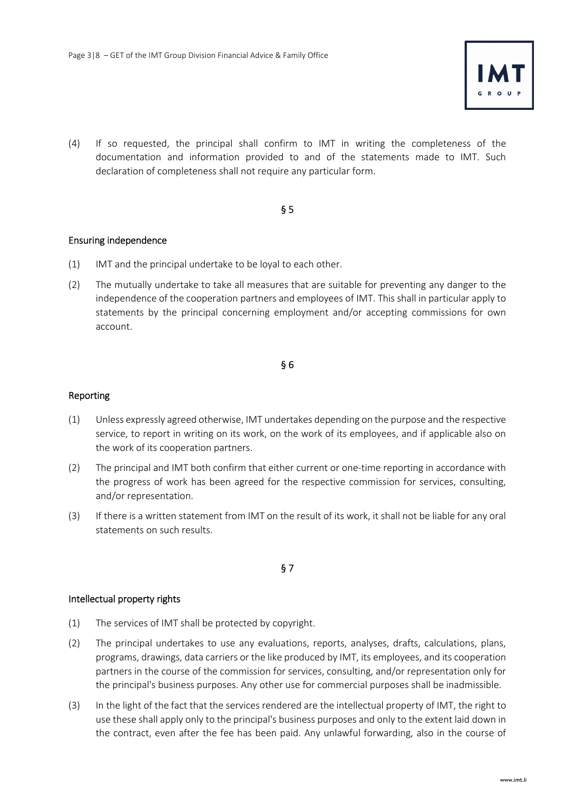

(4) If so requested, the principal shall confirm to IMT in writing the completeness of the documentation and information provided to and of the statements made to IMT. Such declaration of completeness shall not require any particular form.

# § 5

### Ensuring independence

- (1) IMT and the principal undertake to be loyal to each other.
- (2) The mutually undertake to take all measures that are suitable for preventing any danger to the independence of the cooperation partners and employees of IMT. This shall in particular apply to statements by the principal concerning employment and/or accepting commissions for own account.

### § 6

#### Reporting

- (1) Unless expressly agreed otherwise, IMT undertakes depending on the purpose and the respective service, to report in writing on its work, on the work of its employees, and if applicable also on the work of its cooperation partners.
- (2) The principal and IMT both confirm that either current or one-time reporting in accordance with the progress of work has been agreed for the respective commission for services, consulting, and/or representation.
- (3) If there is a written statement from IMT on the result of its work, it shall not be liable for any oral statements on such results.

### § 7

### Intellectual property rights

- (1) The services of IMT shall be protected by copyright.
- (2) The principal undertakes to use any evaluations, reports, analyses, drafts, calculations, plans, programs, drawings, data carriers or the like produced by IMT, its employees, and its cooperation partners in the course of the commission for services, consulting, and/or representation only for the principal's business purposes. Any other use for commercial purposes shall be inadmissible.
- (3) In the light of the fact that the services rendered are the intellectual property of IMT, the right to use these shall apply only to the principal's business purposes and only to the extent laid down in the contract, even after the fee has been paid. Any unlawful forwarding, also in the course of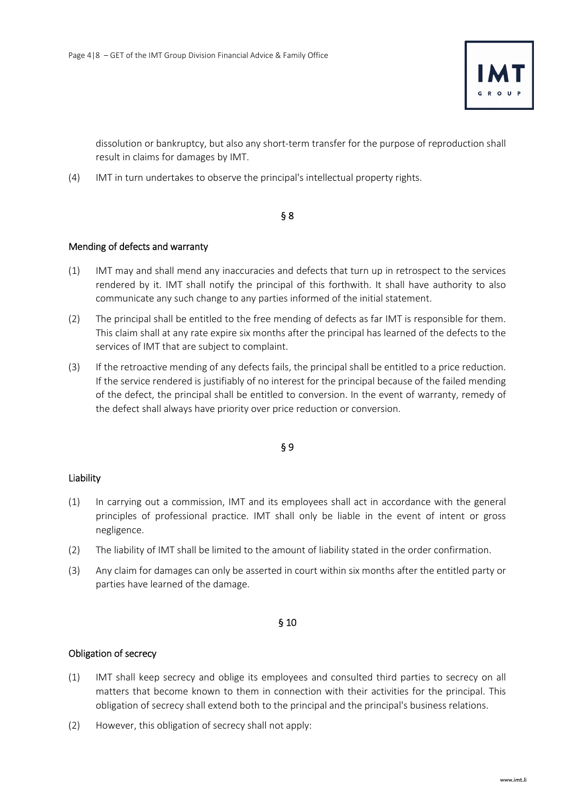

dissolution or bankruptcy, but also any short-term transfer for the purpose of reproduction shall result in claims for damages by IMT.

(4) IMT in turn undertakes to observe the principal's intellectual property rights.

#### § 8

### Mending of defects and warranty

- (1) IMT may and shall mend any inaccuracies and defects that turn up in retrospect to the services rendered by it. IMT shall notify the principal of this forthwith. It shall have authority to also communicate any such change to any parties informed of the initial statement.
- (2) The principal shall be entitled to the free mending of defects as far IMT is responsible for them. This claim shall at any rate expire six months after the principal has learned of the defects to the services of IMT that are subject to complaint.
- (3) If the retroactive mending of any defects fails, the principal shall be entitled to a price reduction. If the service rendered is justifiably of no interest for the principal because of the failed mending of the defect, the principal shall be entitled to conversion. In the event of warranty, remedy of the defect shall always have priority over price reduction or conversion.

### § 9

### Liability

- (1) In carrying out a commission, IMT and its employees shall act in accordance with the general principles of professional practice. IMT shall only be liable in the event of intent or gross negligence.
- (2) The liability of IMT shall be limited to the amount of liability stated in the order confirmation.
- (3) Any claim for damages can only be asserted in court within six months after the entitled party or parties have learned of the damage.

### § 10

### Obligation of secrecy

- (1) IMT shall keep secrecy and oblige its employees and consulted third parties to secrecy on all matters that become known to them in connection with their activities for the principal. This obligation of secrecy shall extend both to the principal and the principal's business relations.
- (2) However, this obligation of secrecy shall not apply: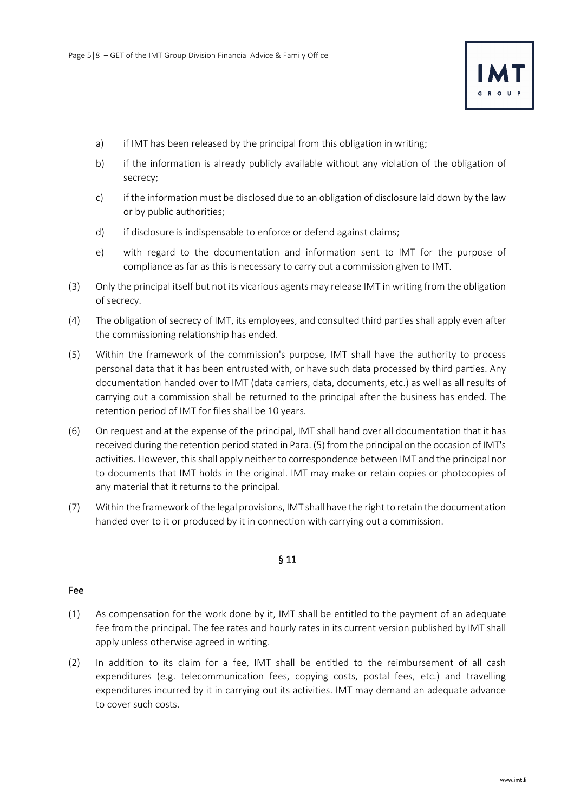

- a) if IMT has been released by the principal from this obligation in writing;
- b) if the information is already publicly available without any violation of the obligation of secrecy;
- c) if the information must be disclosed due to an obligation of disclosure laid down by the law or by public authorities;
- d) if disclosure is indispensable to enforce or defend against claims;
- e) with regard to the documentation and information sent to IMT for the purpose of compliance as far as this is necessary to carry out a commission given to IMT.
- (3) Only the principal itself but not its vicarious agents may release IMT in writing from the obligation of secrecy.
- (4) The obligation of secrecy of IMT, its employees, and consulted third parties shall apply even after the commissioning relationship has ended.
- (5) Within the framework of the commission's purpose, IMT shall have the authority to process personal data that it has been entrusted with, or have such data processed by third parties. Any documentation handed over to IMT (data carriers, data, documents, etc.) as well as all results of carrying out a commission shall be returned to the principal after the business has ended. The retention period of IMT for files shall be 10 years.
- (6) On request and at the expense of the principal, IMT shall hand over all documentation that it has received during the retention period stated in Para. (5) from the principal on the occasion of IMT's activities. However, this shall apply neither to correspondence between IMT and the principal nor to documents that IMT holds in the original. IMT may make or retain copies or photocopies of any material that it returns to the principal.
- (7) Within the framework of the legal provisions, IMT shall have the right to retain the documentation handed over to it or produced by it in connection with carrying out a commission.

#### Fee

- (1) As compensation for the work done by it, IMT shall be entitled to the payment of an adequate fee from the principal. The fee rates and hourly rates in its current version published by IMT shall apply unless otherwise agreed in writing.
- (2) In addition to its claim for a fee, IMT shall be entitled to the reimbursement of all cash expenditures (e.g. telecommunication fees, copying costs, postal fees, etc.) and travelling expenditures incurred by it in carrying out its activities. IMT may demand an adequate advance to cover such costs.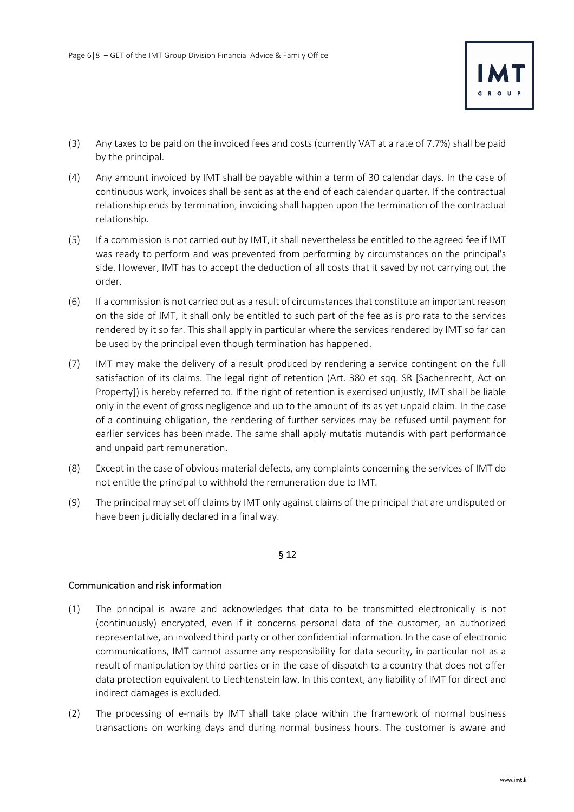

- (3) Any taxes to be paid on the invoiced fees and costs (currently VAT at a rate of 7.7%) shall be paid by the principal.
- (4) Any amount invoiced by IMT shall be payable within a term of 30 calendar days. In the case of continuous work, invoices shall be sent as at the end of each calendar quarter. If the contractual relationship ends by termination, invoicing shall happen upon the termination of the contractual relationship.
- (5) If a commission is not carried out by IMT, it shall nevertheless be entitled to the agreed fee if IMT was ready to perform and was prevented from performing by circumstances on the principal's side. However, IMT has to accept the deduction of all costs that it saved by not carrying out the order.
- (6) If a commission is not carried out as a result of circumstances that constitute an important reason on the side of IMT, it shall only be entitled to such part of the fee as is pro rata to the services rendered by it so far. This shall apply in particular where the services rendered by IMT so far can be used by the principal even though termination has happened.
- (7) IMT may make the delivery of a result produced by rendering a service contingent on the full satisfaction of its claims. The legal right of retention (Art. 380 et sqq. SR [Sachenrecht, Act on Property]) is hereby referred to. If the right of retention is exercised unjustly, IMT shall be liable only in the event of gross negligence and up to the amount of its as yet unpaid claim. In the case of a continuing obligation, the rendering of further services may be refused until payment for earlier services has been made. The same shall apply mutatis mutandis with part performance and unpaid part remuneration.
- (8) Except in the case of obvious material defects, any complaints concerning the services of IMT do not entitle the principal to withhold the remuneration due to IMT.
- (9) The principal may set off claims by IMT only against claims of the principal that are undisputed or have been judicially declared in a final way.

## Communication and risk information

- (1) The principal is aware and acknowledges that data to be transmitted electronically is not (continuously) encrypted, even if it concerns personal data of the customer, an authorized representative, an involved third party or other confidential information. In the case of electronic communications, IMT cannot assume any responsibility for data security, in particular not as a result of manipulation by third parties or in the case of dispatch to a country that does not offer data protection equivalent to Liechtenstein law. In this context, any liability of IMT for direct and indirect damages is excluded.
- (2) The processing of e-mails by IMT shall take place within the framework of normal business transactions on working days and during normal business hours. The customer is aware and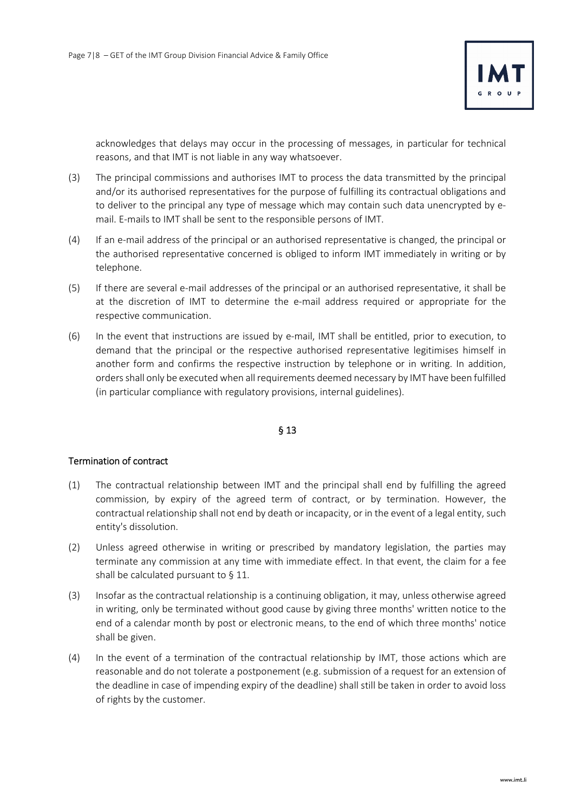

acknowledges that delays may occur in the processing of messages, in particular for technical reasons, and that IMT is not liable in any way whatsoever.

- (3) The principal commissions and authorises IMT to process the data transmitted by the principal and/or its authorised representatives for the purpose of fulfilling its contractual obligations and to deliver to the principal any type of message which may contain such data unencrypted by email. E-mails to IMT shall be sent to the responsible persons of IMT.
- (4) If an e-mail address of the principal or an authorised representative is changed, the principal or the authorised representative concerned is obliged to inform IMT immediately in writing or by telephone.
- (5) If there are several e-mail addresses of the principal or an authorised representative, it shall be at the discretion of IMT to determine the e-mail address required or appropriate for the respective communication.
- (6) In the event that instructions are issued by e-mail, IMT shall be entitled, prior to execution, to demand that the principal or the respective authorised representative legitimises himself in another form and confirms the respective instruction by telephone or in writing. In addition, orders shall only be executed when all requirements deemed necessary by IMT have been fulfilled (in particular compliance with regulatory provisions, internal guidelines).

### § 13

### Termination of contract

- (1) The contractual relationship between IMT and the principal shall end by fulfilling the agreed commission, by expiry of the agreed term of contract, or by termination. However, the contractual relationship shall not end by death or incapacity, or in the event of a legal entity, such entity's dissolution.
- (2) Unless agreed otherwise in writing or prescribed by mandatory legislation, the parties may terminate any commission at any time with immediate effect. In that event, the claim for a fee shall be calculated pursuant to § 11.
- (3) Insofar as the contractual relationship is a continuing obligation, it may, unless otherwise agreed in writing, only be terminated without good cause by giving three months' written notice to the end of a calendar month by post or electronic means, to the end of which three months' notice shall be given.
- (4) In the event of a termination of the contractual relationship by IMT, those actions which are reasonable and do not tolerate a postponement (e.g. submission of a request for an extension of the deadline in case of impending expiry of the deadline) shall still be taken in order to avoid loss of rights by the customer.